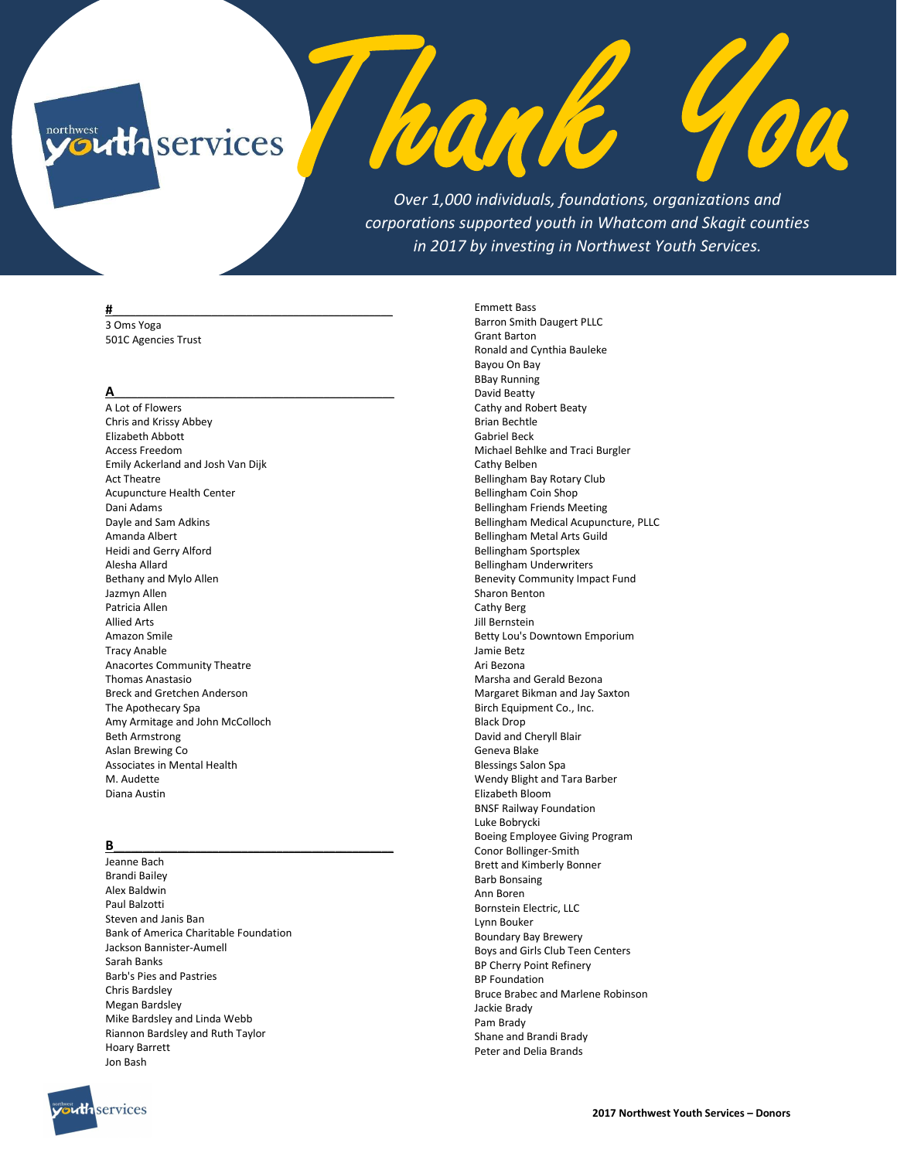# $\operatorname{northwest}$ *Athservices*

Over 1,000 individuals, foundations, organizations and corporations supported youth in Whatcom and Skagit counties in 2017 by investing in Northwest Youth Services.

hank

90

#### #\_\_\_\_\_\_\_\_\_\_\_\_\_\_\_\_\_\_\_\_\_\_\_\_\_\_\_\_\_\_\_\_\_\_\_\_\_\_\_\_\_\_\_\_\_\_\_\_

3 Oms Yoga 501C Agencies Trust

# A\_\_\_\_\_\_\_\_\_\_\_\_\_\_\_\_\_\_\_\_\_\_\_\_\_\_\_\_\_\_\_\_\_\_\_\_\_\_\_\_\_\_\_\_\_\_\_\_

A Lot of Flowers Chris and Krissy Abbey Elizabeth Abbott Access Freedom Emily Ackerland and Josh Van Dijk Act Theatre Acupuncture Health Center Dani Adams Dayle and Sam Adkins Amanda Albert Heidi and Gerry Alford Alesha Allard Bethany and Mylo Allen Jazmyn Allen Patricia Allen Allied Arts Amazon Smile Tracy Anable Anacortes Community Theatre Thomas Anastasio Breck and Gretchen Anderson The Apothecary Spa Amy Armitage and John McColloch Beth Armstrong Aslan Brewing Co Associates in Mental Health M. Audette Diana Austin

### B\_\_\_\_\_\_\_\_\_\_\_\_\_\_\_\_\_\_\_\_\_\_\_\_\_\_\_\_\_\_\_\_\_\_\_\_\_\_\_\_\_\_\_\_\_\_\_\_

Jeanne Bach Brandi Bailey Alex Baldwin Paul Balzotti Steven and Janis Ban Bank of America Charitable Foundation Jackson Bannister-Aumell Sarah Banks Barb's Pies and Pastries Chris Bardsley Megan Bardsley Mike Bardsley and Linda Webb Riannon Bardsley and Ruth Taylor Hoary Barrett Jon Bash

Emmett Bass Barron Smith Daugert PLLC Grant Barton Ronald and Cynthia Bauleke Bayou On Bay BBay Running David Beatty Cathy and Robert Beaty Brian Bechtle Gabriel Beck Michael Behlke and Traci Burgler Cathy Belben Bellingham Bay Rotary Club Bellingham Coin Shop Bellingham Friends Meeting Bellingham Medical Acupuncture, PLLC Bellingham Metal Arts Guild Bellingham Sportsplex Bellingham Underwriters Benevity Community Impact Fund Sharon Benton Cathy Berg Jill Bernstein Betty Lou's Downtown Emporium Jamie Betz Ari Bezona Marsha and Gerald Bezona Margaret Bikman and Jay Saxton Birch Equipment Co., Inc. Black Drop David and Cheryll Blair Geneva Blake Blessings Salon Spa Wendy Blight and Tara Barber Elizabeth Bloom BNSF Railway Foundation Luke Bobrycki Boeing Employee Giving Program Conor Bollinger-Smith Brett and Kimberly Bonner Barb Bonsaing Ann Boren Bornstein Electric, LLC Lynn Bouker Boundary Bay Brewery Boys and Girls Club Teen Centers BP Cherry Point Refinery BP Foundation Bruce Brabec and Marlene Robinson Jackie Brady Pam Brady Shane and Brandi Brady Peter and Delia Brands

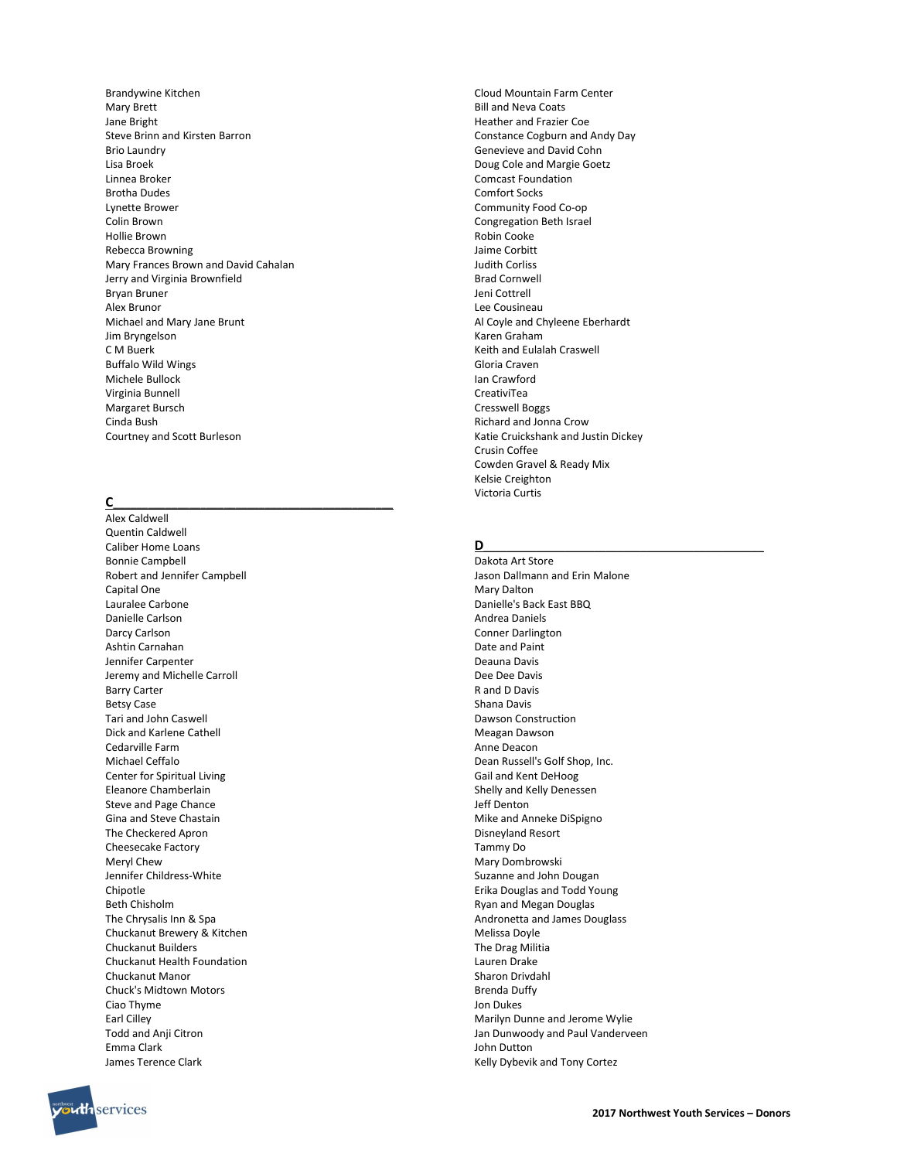Brandywine Kitchen Mary Brett Jane Bright Steve Brinn and Kirsten Barron Brio Laundry Lisa Broek Linnea Broker Brotha Dudes Lynette Brower Colin Brown Hollie Brown Rebecca Browning Mary Frances Brown and David Cahalan Jerry and Virginia Brownfield Bryan Bruner Alex Brunor Michael and Mary Jane Brunt Jim Bryngelson C M Buerk Buffalo Wild Wings Michele Bullock Virginia Bunnell Margaret Bursch Cinda Bush Courtney and Scott Burleson

# $\overline{C}$  , and the set of  $\overline{C}$  , and the set of  $\overline{C}$  , and  $\overline{C}$  , and  $\overline{C}$  , and  $\overline{C}$  , and  $\overline{C}$  , and  $\overline{C}$  , and  $\overline{C}$  , and  $\overline{C}$  , and  $\overline{C}$  , and  $\overline{C}$  , and  $\overline{C}$  , and  $\overline$

Alex Caldwell Quentin Caldwell Caliber Home Loans Bonnie Campbell Robert and Jennifer Campbell Capital One Lauralee Carbone Danielle Carlson Darcy Carlson Ashtin Carnahan Jennifer Carpenter Jeremy and Michelle Carroll Barry Carter Betsy Case Tari and John Caswell Dick and Karlene Cathell Cedarville Farm Michael Ceffalo Center for Spiritual Living Eleanore Chamberlain Steve and Page Chance Gina and Steve Chastain The Checkered Apron Cheesecake Factory Meryl Chew Jennifer Childress-White Chipotle Beth Chisholm The Chrysalis Inn & Spa Chuckanut Brewery & Kitchen Chuckanut Builders Chuckanut Health Foundation Chuckanut Manor Chuck's Midtown Motors Ciao Thyme Earl Cilley Todd and Anji Citron Emma Clark James Terence Clark

Cloud Mountain Farm Center Bill and Neva Coats Heather and Frazier Coe Constance Cogburn and Andy Day Genevieve and David Cohn Doug Cole and Margie Goetz Comcast Foundation Comfort Socks Community Food Co-op Congregation Beth Israel Robin Cooke Jaime Corbitt Judith Corliss Brad Cornwell Jeni Cottrell Lee Cousineau Al Coyle and Chyleene Eberhardt Karen Graham Keith and Eulalah Craswell Gloria Craven Ian Crawford CreativiTea Cresswell Boggs Richard and Jonna Crow Katie Cruickshank and Justin Dickey Crusin Coffee Cowden Gravel & Ready Mix Kelsie Creighton Victoria Curtis

### D\_\_\_\_\_\_\_\_\_\_\_\_\_\_\_\_\_\_\_\_\_\_\_\_\_\_\_\_\_\_\_\_\_\_\_\_\_\_\_\_\_\_\_\_\_\_\_\_

Dakota Art Store Jason Dallmann and Erin Malone Mary Dalton Danielle's Back East BBQ Andrea Daniels Conner Darlington Date and Paint Deauna Davis Dee Dee Davis R and D Davis Shana Davis Dawson Construction Meagan Dawson Anne Deacon Dean Russell's Golf Shop, Inc. Gail and Kent DeHoog Shelly and Kelly Denessen Jeff Denton Mike and Anneke DiSpigno Disneyland Resort Tammy Do Mary Dombrowski Suzanne and John Dougan Erika Douglas and Todd Young Ryan and Megan Douglas Andronetta and James Douglass Melissa Doyle The Drag Militia Lauren Drake Sharon Drivdahl Brenda Duffy Jon Dukes Marilyn Dunne and Jerome Wylie Jan Dunwoody and Paul Vanderveen John Dutton Kelly Dybevik and Tony Cortez

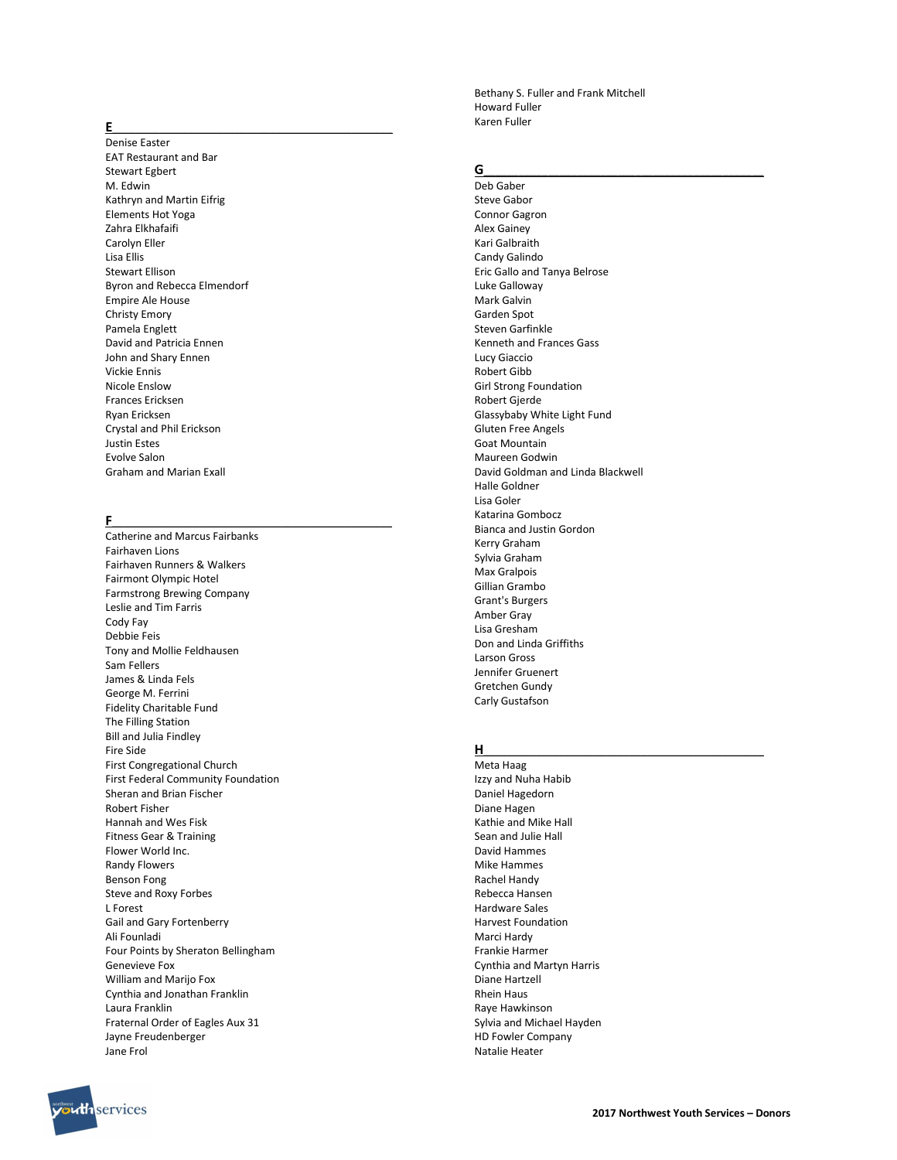### $E$  , and the set of the set of the set of the set of the set of the set of the set of the set of the set of the set of the set of the set of the set of the set of the set of the set of the set of the set of the set of th

Denise Easter EAT Restaurant and Bar Stewart Egbert M. Edwin Kathryn and Martin Eifrig Elements Hot Yoga Zahra Elkhafaifi Carolyn Eller Lisa Ellis Stewart Ellison Byron and Rebecca Elmendorf Empire Ale House Christy Emory Pamela Englett David and Patricia Ennen John and Shary Ennen Vickie Ennis Nicole Enslow Frances Ericksen Ryan Ericksen Crystal and Phil Erickson Justin Estes Evolve Salon Graham and Marian Exall

#### F\_\_\_\_\_\_\_\_\_\_\_\_\_\_\_\_\_\_\_\_\_\_\_\_\_\_\_\_\_\_\_\_\_\_\_\_\_\_\_\_\_\_\_\_\_\_\_\_

Catherine and Marcus Fairbanks Fairhaven Lions Fairhaven Runners & Walkers Fairmont Olympic Hotel Farmstrong Brewing Company Leslie and Tim Farris Cody Fay Debbie Feis Tony and Mollie Feldhausen Sam Fellers James & Linda Fels George M. Ferrini Fidelity Charitable Fund The Filling Station Bill and Julia Findley Fire Side First Congregational Church First Federal Community Foundation Sheran and Brian Fischer Robert Fisher Hannah and Wes Fisk Fitness Gear & Training Flower World Inc. Randy Flowers Benson Fong Steve and Roxy Forbes L Forest Gail and Gary Fortenberry Ali Founladi Four Points by Sheraton Bellingham Genevieve Fox William and Marijo Fox Cynthia and Jonathan Franklin Laura Franklin Fraternal Order of Eagles Aux 31 Jayne Freudenberger Jane Frol

Howard Fuller Karen Fuller

# $G$   $\overline{\phantom{a}}$

Deb Gaber Steve Gabor Connor Gagron Alex Gainey Kari Galbraith Candy Galindo Eric Gallo and Tanya Belrose Luke Galloway Mark Galvin Garden Spot Steven Garfinkle Kenneth and Frances Gass Lucy Giaccio Robert Gibb Girl Strong Foundation Robert Gjerde Glassybaby White Light Fund Gluten Free Angels Goat Mountain Maureen Godwin David Goldman and Linda Blackwell Halle Goldner Lisa Goler Katarina Gombocz Bianca and Justin Gordon Kerry Graham Sylvia Graham Max Gralpois Gillian Grambo Grant's Burgers Amber Gray Lisa Gresham Don and Linda Griffiths Larson Gross Jennifer Gruenert Gretchen Gundy Carly Gustafson

Bethany S. Fuller and Frank Mitchell

#### H\_\_\_\_\_\_\_\_\_\_\_\_\_\_\_\_\_\_\_\_\_\_\_\_\_\_\_\_\_\_\_\_\_\_\_\_\_\_\_\_\_\_\_\_\_\_\_\_

Meta Haag Izzy and Nuha Habib Daniel Hagedorn Diane Hagen Kathie and Mike Hall Sean and Julie Hall David Hammes Mike Hammes Rachel Handy Rebecca Hansen Hardware Sales Harvest Foundation Marci Hardy Frankie Harmer Cynthia and Martyn Harris Diane Hartzell Rhein Haus Raye Hawkinson Sylvia and Michael Hayden HD Fowler Company Natalie Heater

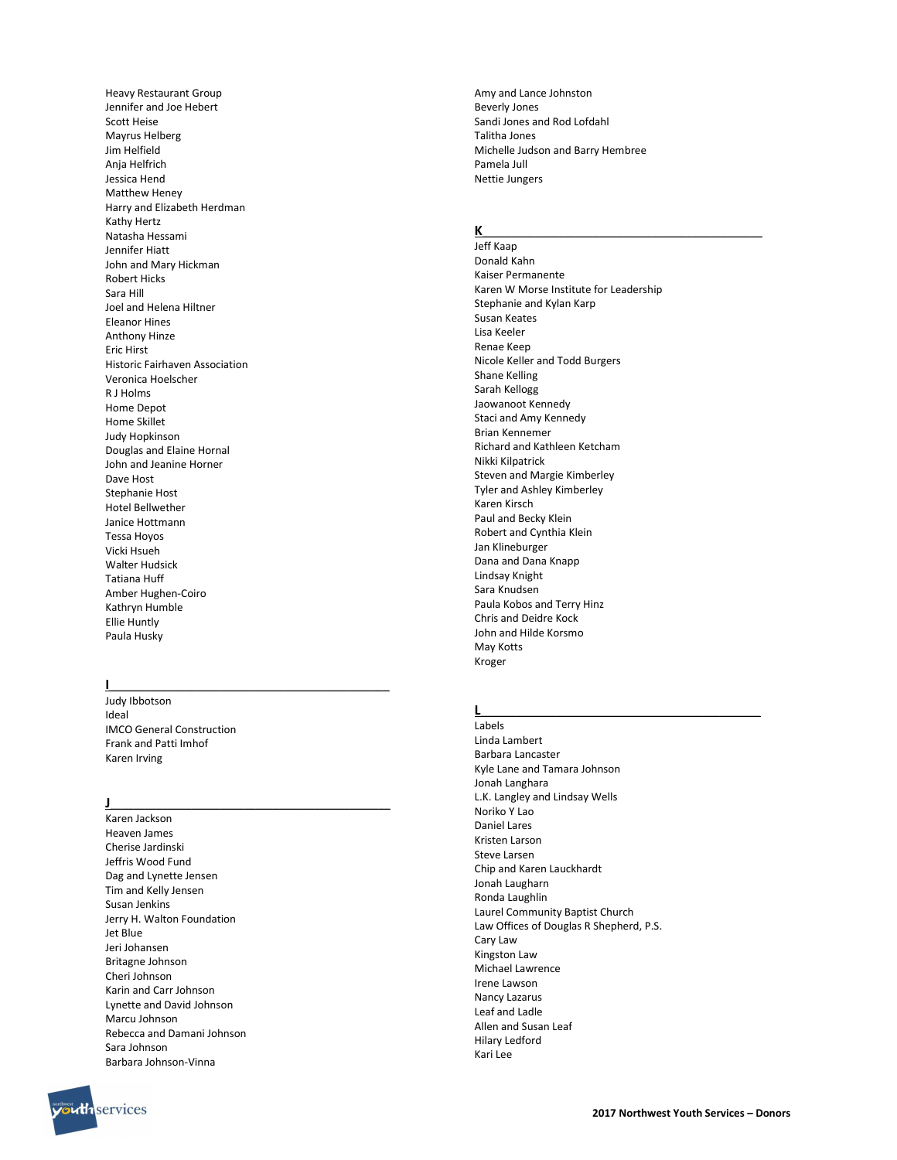Heavy Restaurant Group Jennifer and Joe Hebert Scott Heise Mayrus Helberg Jim Helfield Anja Helfrich Jessica Hend Matthew Heney Harry and Elizabeth Herdman Kathy Hertz Natasha Hessami Jennifer Hiatt John and Mary Hickman Robert Hicks Sara Hill Joel and Helena Hiltner Eleanor Hines Anthony Hinze Eric Hirst Historic Fairhaven Association Veronica Hoelscher R J Holms Home Depot Home Skillet Judy Hopkinson Douglas and Elaine Hornal John and Jeanine Horner Dave Host Stephanie Host Hotel Bellwether Janice Hottmann Tessa Hoyos Vicki Hsueh Walter Hudsick Tatiana Huff Amber Hughen-Coiro Kathryn Humble Ellie Huntly Paula Husky

#### $\blacksquare$

Judy Ibbotson Ideal IMCO General Construction Frank and Patti Imhof Karen Irving

## J\_\_\_\_\_\_\_\_\_\_\_\_\_\_\_\_\_\_\_\_\_\_\_\_\_\_\_\_\_\_\_\_\_\_\_\_\_\_\_\_\_\_\_\_\_\_\_\_

Karen Jackson Heaven James Cherise Jardinski Jeffris Wood Fund Dag and Lynette Jensen Tim and Kelly Jensen Susan Jenkins Jerry H. Walton Foundation Jet Blue Jeri Johansen Britagne Johnson Cheri Johnson Karin and Carr Johnson Lynette and David Johnson Marcu Johnson Rebecca and Damani Johnson Sara Johnson Barbara Johnson-Vinna

Amy and Lance Johnston Beverly Jones Sandi Jones and Rod Lofdahl Talitha Jones Michelle Judson and Barry Hembree Pamela Jull Nettie Jungers

#### $K$  and the set of the set of the set of the set of the set of the set of the set of the set of the set of the set of the set of the set of the set of the set of the set of the set of the set of the set of the set of the

Jeff Kaap Donald Kahn Kaiser Permanente Karen W Morse Institute for Leadership Stephanie and Kylan Karp Susan Keates Lisa Keeler Renae Keep Nicole Keller and Todd Burgers Shane Kelling Sarah Kellogg Jaowanoot Kennedy Staci and Amy Kennedy Brian Kennemer Richard and Kathleen Ketcham Nikki Kilpatrick Steven and Margie Kimberley Tyler and Ashley Kimberley Karen Kirsch Paul and Becky Klein Robert and Cynthia Klein Jan Klineburger Dana and Dana Knapp Lindsay Knight Sara Knudsen Paula Kobos and Terry Hinz Chris and Deidre Kock John and Hilde Korsmo May Kotts Kroger

## $L$  , and the contract of the contract of  $L$  , and  $L$

Labels Linda Lambert Barbara Lancaster Kyle Lane and Tamara Johnson Jonah Langhara L.K. Langley and Lindsay Wells Noriko Y Lao Daniel Lares Kristen Larson Steve Larsen Chip and Karen Lauckhardt Jonah Laugharn Ronda Laughlin Laurel Community Baptist Church Law Offices of Douglas R Shepherd, P.S. Cary Law Kingston Law Michael Lawrence Irene Lawson Nancy Lazarus Leaf and Ladle Allen and Susan Leaf Hilary Ledford Kari Lee

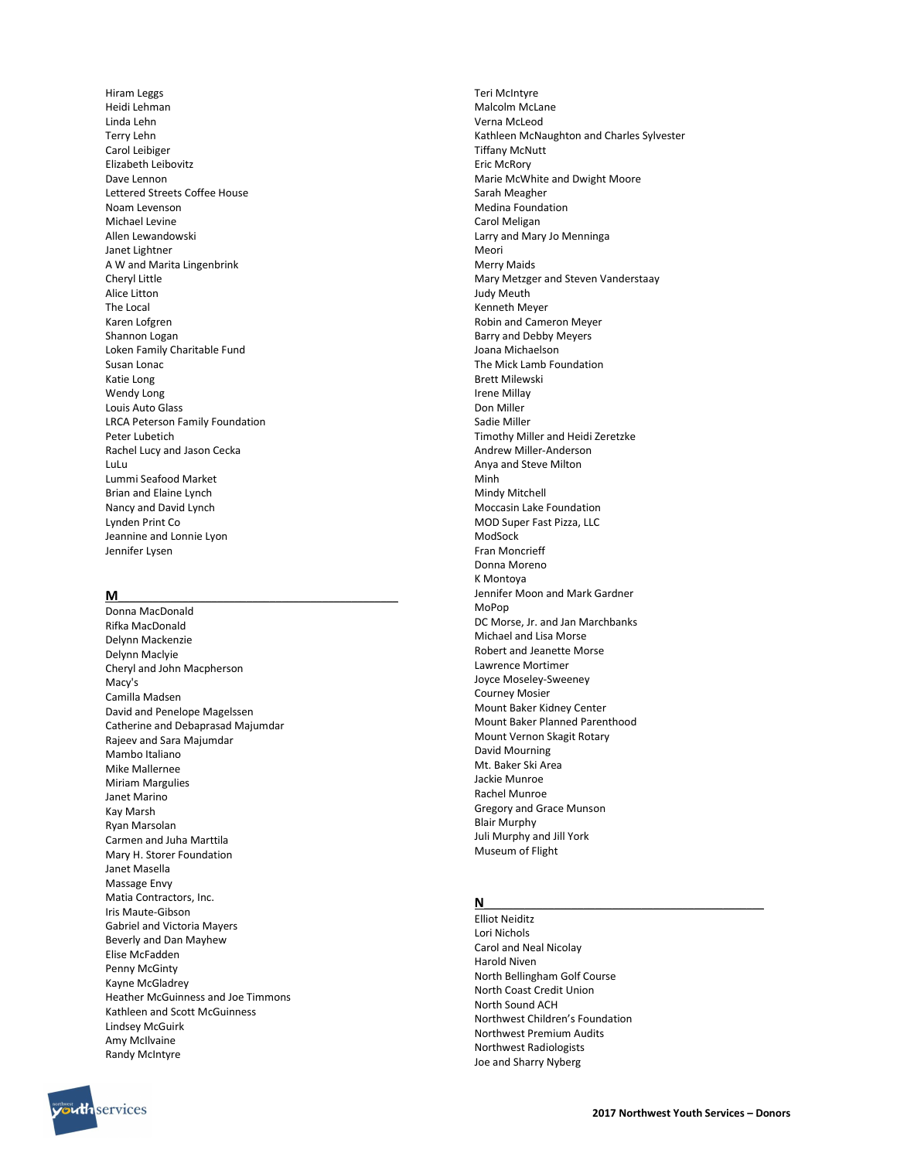Hiram Leggs Heidi Lehman Linda Lehn Terry Lehn Carol Leibiger Elizabeth Leibovitz Dave Lennon Lettered Streets Coffee House Noam Levenson Michael Levine Allen Lewandowski Janet Lightner A W and Marita Lingenbrink Cheryl Little Alice Litton The Local Karen Lofgren Shannon Logan Loken Family Charitable Fund Susan Lonac Katie Long Wendy Long Louis Auto Glass LRCA Peterson Family Foundation Peter Lubetich Rachel Lucy and Jason Cecka LuLu Lummi Seafood Market Brian and Elaine Lynch Nancy and David Lynch Lynden Print Co Jeannine and Lonnie Lyon Jennifer Lysen

#### $M$   $\overline{\phantom{a}}$

Donna MacDonald Rifka MacDonald Delynn Mackenzie Delynn Maclyie Cheryl and John Macpherson Macy's Camilla Madsen David and Penelope Magelssen Catherine and Debaprasad Majumdar Rajeev and Sara Majumdar Mambo Italiano Mike Mallernee Miriam Margulies Janet Marino Kay Marsh Ryan Marsolan Carmen and Juha Marttila Mary H. Storer Foundation Janet Masella Massage Envy Matia Contractors, Inc. Iris Maute-Gibson Gabriel and Victoria Mayers Beverly and Dan Mayhew Elise McFadden Penny McGinty Kayne McGladrey Heather McGuinness and Joe Timmons Kathleen and Scott McGuinness Lindsey McGuirk Amy McIlvaine Randy McIntyre

Teri McIntyre Malcolm McLane Verna McLeod Kathleen McNaughton and Charles Sylvester Tiffany McNutt Eric McRory Marie McWhite and Dwight Moore Sarah Meagher Medina Foundation Carol Meligan Larry and Mary Jo Menninga Meori Merry Maids Mary Metzger and Steven Vanderstaay Judy Meuth Kenneth Meyer Robin and Cameron Meyer Barry and Debby Meyers Joana Michaelson The Mick Lamb Foundation Brett Milewski Irene Millay Don Miller Sadie Miller Timothy Miller and Heidi Zeretzke Andrew Miller-Anderson Anya and Steve Milton Minh Mindy Mitchell Moccasin Lake Foundation MOD Super Fast Pizza, LLC ModSock Fran Moncrieff Donna Moreno K Montoya Jennifer Moon and Mark Gardner MoPop DC Morse, Jr. and Jan Marchbanks Michael and Lisa Morse Robert and Jeanette Morse Lawrence Mortimer Joyce Moseley-Sweeney Courney Mosier Mount Baker Kidney Center Mount Baker Planned Parenthood Mount Vernon Skagit Rotary David Mourning Mt. Baker Ski Area Jackie Munroe Rachel Munroe Gregory and Grace Munson Blair Murphy Juli Murphy and Jill York Museum of Flight

# $N$   $\overline{\phantom{a}}$

Elliot Neiditz Lori Nichols Carol and Neal Nicolay Harold Niven North Bellingham Golf Course North Coast Credit Union North Sound ACH Northwest Children's Foundation Northwest Premium Audits Northwest Radiologists Joe and Sharry Nyberg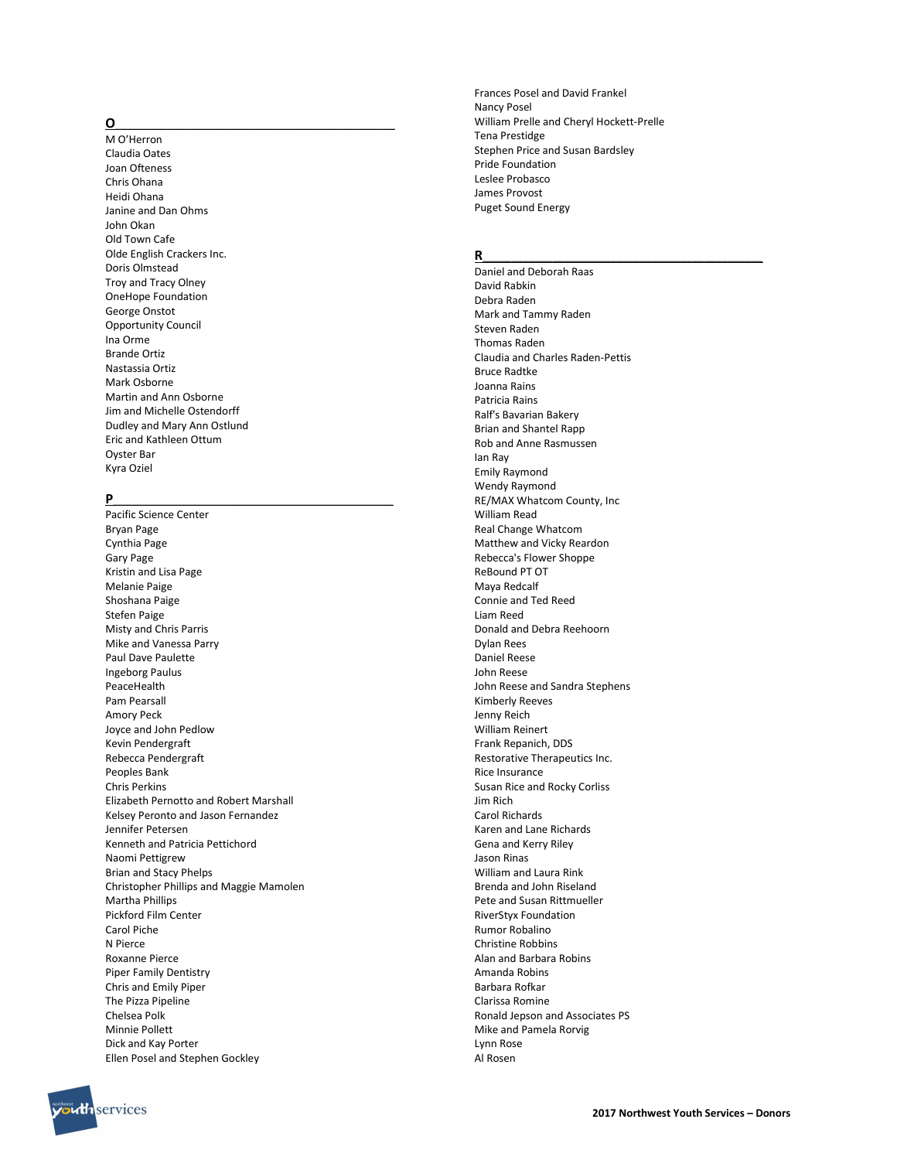# $\overline{\text{O}}$  , and the set of  $\overline{\text{O}}$  , and the set of  $\overline{\text{O}}$  , and the set of  $\overline{\text{O}}$

M O'Herron Claudia Oates Joan Ofteness Chris Ohana Heidi Ohana Janine and Dan Ohms John Okan Old Town Cafe Olde English Crackers Inc. Doris Olmstead Troy and Tracy Olney OneHope Foundation George Onstot Opportunity Council Ina Orme Brande Ortiz Nastassia Ortiz Mark Osborne Martin and Ann Osborne Jim and Michelle Ostendorff Dudley and Mary Ann Ostlund Eric and Kathleen Ottum Oyster Bar Kyra Oziel

## P\_\_\_\_\_\_\_\_\_\_\_\_\_\_\_\_\_\_\_\_\_\_\_\_\_\_\_\_\_\_\_\_\_\_\_\_\_\_\_\_\_\_\_\_\_\_\_\_

Pacific Science Center Bryan Page Cynthia Page Gary Page Kristin and Lisa Page Melanie Paige Shoshana Paige Stefen Paige Misty and Chris Parris Mike and Vanessa Parry Paul Dave Paulette Ingeborg Paulus PeaceHealth Pam Pearsall Amory Peck Joyce and John Pedlow Kevin Pendergraft Rebecca Pendergraft Peoples Bank Chris Perkins Elizabeth Pernotto and Robert Marshall Kelsey Peronto and Jason Fernandez Jennifer Petersen Kenneth and Patricia Pettichord Naomi Pettigrew Brian and Stacy Phelps Christopher Phillips and Maggie Mamolen Martha Phillips Pickford Film Center Carol Piche N Pierce Roxanne Pierce Piper Family Dentistry Chris and Emily Piper The Pizza Pipeline Chelsea Polk Minnie Pollett Dick and Kay Porter Ellen Posel and Stephen Gockley

Frances Posel and David Frankel Nancy Posel William Prelle and Cheryl Hockett-Prelle Tena Prestidge Stephen Price and Susan Bardsley Pride Foundation Leslee Probasco James Provost Puget Sound Energy

#### R\_\_\_\_\_\_\_\_\_\_\_\_\_\_\_\_\_\_\_\_\_\_\_\_\_\_\_\_\_\_\_\_\_\_\_\_\_\_\_\_\_\_\_\_\_\_\_\_

Daniel and Deborah Raas David Rabkin Debra Raden Mark and Tammy Raden Steven Raden Thomas Raden Claudia and Charles Raden-Pettis Bruce Radtke Joanna Rains Patricia Rains Ralf's Bavarian Bakery Brian and Shantel Rapp Rob and Anne Rasmussen Ian Ray Emily Raymond Wendy Raymond RE/MAX Whatcom County, Inc William Read Real Change Whatcom Matthew and Vicky Reardon Rebecca's Flower Shoppe ReBound PT OT Maya Redcalf Connie and Ted Reed Liam Reed Donald and Debra Reehoorn Dylan Rees Daniel Reese John Reese John Reese and Sandra Stephens Kimberly Reeves Jenny Reich William Reinert Frank Repanich, DDS Restorative Therapeutics Inc. Rice Insurance Susan Rice and Rocky Corliss Jim Rich Carol Richards Karen and Lane Richards Gena and Kerry Riley Jason Rinas William and Laura Rink Brenda and John Riseland Pete and Susan Rittmueller RiverStyx Foundation Rumor Robalino Christine Robbins Alan and Barbara Robins Amanda Robins Barbara Rofkar Clarissa Romine Ronald Jepson and Associates PS Mike and Pamela Rorvig Lynn Rose Al Rosen

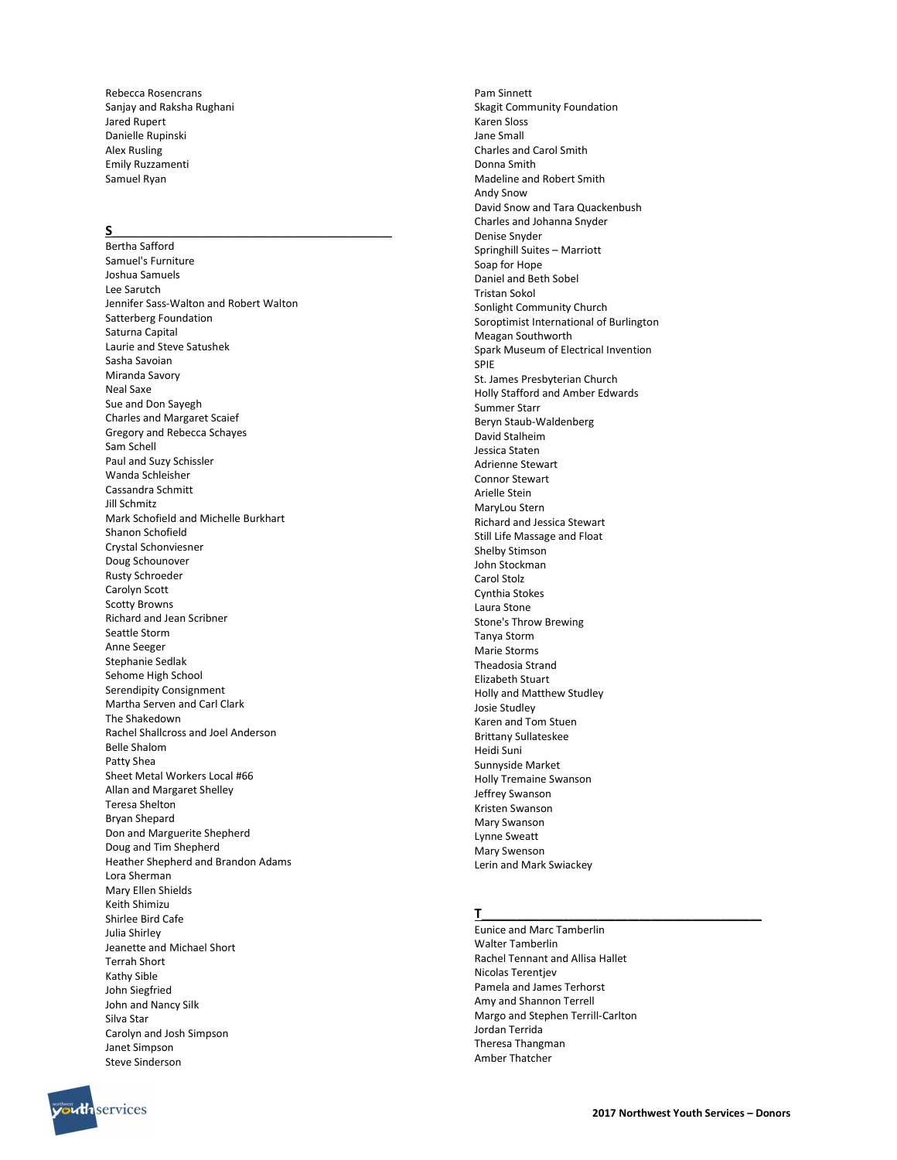Rebecca Rosencrans Sanjay and Raksha Rughani Jared Rupert Danielle Rupinski Alex Rusling Emily Ruzzamenti Samuel Ryan

#### $\mathsf{s}$   $\blacksquare$

Bertha Safford Samuel's Furniture Joshua Samuels Lee Sarutch Jennifer Sass-Walton and Robert Walton Satterberg Foundation Saturna Capital Laurie and Steve Satushek Sasha Savoian Miranda Savory Neal Saxe Sue and Don Sayegh Charles and Margaret Scaief Gregory and Rebecca Schayes Sam Schell Paul and Suzy Schissler Wanda Schleisher Cassandra Schmitt Jill Schmitz Mark Schofield and Michelle Burkhart Shanon Schofield Crystal Schonviesner Doug Schounover Rusty Schroeder Carolyn Scott Scotty Browns Richard and Jean Scribner Seattle Storm Anne Seeger Stephanie Sedlak Sehome High School Serendipity Consignment Martha Serven and Carl Clark The Shakedown Rachel Shallcross and Joel Anderson Belle Shalom Patty Shea Sheet Metal Workers Local #66 Allan and Margaret Shelley Teresa Shelton Bryan Shepard Don and Marguerite Shepherd Doug and Tim Shepherd Heather Shepherd and Brandon Adams Lora Sherman Mary Ellen Shields Keith Shimizu Shirlee Bird Cafe Julia Shirley Jeanette and Michael Short Terrah Short Kathy Sible John Siegfried John and Nancy Silk Silva Star Carolyn and Josh Simpson Janet Simpson Steve Sinderson

Pam Sinnett Skagit Community Foundation Karen Sloss Jane Small Charles and Carol Smith Donna Smith Madeline and Robert Smith Andy Snow David Snow and Tara Quackenbush Charles and Johanna Snyder Denise Snyder Springhill Suites – Marriott Soap for Hope Daniel and Beth Sobel Tristan Sokol Sonlight Community Church Soroptimist International of Burlington Meagan Southworth Spark Museum of Electrical Invention SPIE St. James Presbyterian Church Holly Stafford and Amber Edwards Summer Starr Beryn Staub-Waldenberg David Stalheim Jessica Staten Adrienne Stewart Connor Stewart Arielle Stein MaryLou Stern Richard and Jessica Stewart Still Life Massage and Float Shelby Stimson John Stockman Carol Stolz Cynthia Stokes Laura Stone Stone's Throw Brewing Tanya Storm Marie Storms Theadosia Strand Elizabeth Stuart Holly and Matthew Studley Josie Studley Karen and Tom Stuen Brittany Sullateskee Heidi Suni Sunnyside Market Holly Tremaine Swanson Jeffrey Swanson Kristen Swanson Mary Swanson Lynne Sweatt Mary Swenson Lerin and Mark Swiackey

## T\_\_\_\_\_\_\_\_\_\_\_\_\_\_\_\_\_\_\_\_\_\_\_\_\_\_\_\_\_\_\_\_\_\_\_\_\_\_\_\_\_\_\_\_\_\_\_\_

Eunice and Marc Tamberlin Walter Tamberlin Rachel Tennant and Allisa Hallet Nicolas Terentjev Pamela and James Terhorst Amy and Shannon Terrell Margo and Stephen Terrill-Carlton Jordan Terrida Theresa Thangman Amber Thatcher